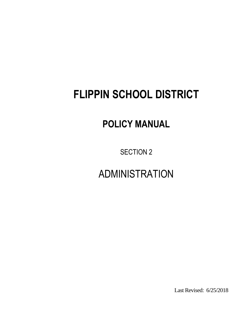# **FLIPPIN SCHOOL DISTRICT**

## **POLICY MANUAL**

SECTION 2

ADMINISTRATION

Last Revised: 6/25/2018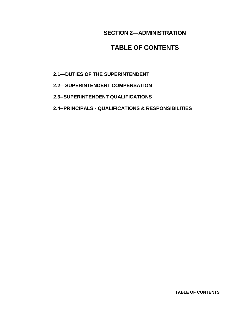#### **SECTION 2—ADMINISTRATION**

### **TABLE OF CONTENTS**

- **2.1—DUTIES OF THE SUPERINTENDENT**
- **2.2—SUPERINTENDENT COMPENSATION**
- **2.3--SUPERINTENDENT QUALIFICATIONS**
- **2.4--PRINCIPALS - QUALIFICATIONS & RESPONSIBILITIES**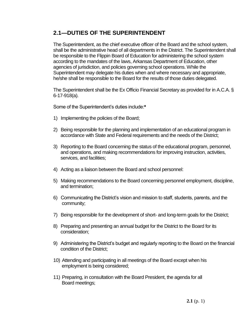#### **2.1—DUTIES OF THE SUPERINTENDENT**

The Superintendent, as the chief executive officer of the Board and the school system, shall be the administrative head of all departments in the District. The Superintendent shall be responsible to the Flippin Board of Education for administering the school system according to the mandates of the laws, Arkansas Department of Education, other agencies of jurisdiction, and policies governing school operations. While the Superintendent may delegate his duties when and where necessary and appropriate, he/she shall be responsible to the Board for the results of those duties delegated.

The Superintendent shall be the Ex Officio Financial Secretary as provided for in A.C.A. § 6-17-918(a).

Some of the Superintendent's duties include:**\***

- 1) Implementing the policies of the Board;
- 2) Being responsible for the planning and implementation of an educational program in accordance with State and Federal requirements and the needs of the District;
- 3) Reporting to the Board concerning the status of the educational program, personnel, and operations, and making recommendations for improving instruction, activities, services, and facilities;
- 4) Acting as a liaison between the Board and school personnel:
- 5) Making recommendations to the Board concerning personnel employment, discipline, and termination;
- 6) Communicating the District's vision and mission to staff, students, parents, and the community;
- 7) Being responsible for the development of short- and long-term goals for the District;
- 8) Preparing and presenting an annual budget for the District to the Board for its consideration;
- 9) Administering the District's budget and regularly reporting to the Board on the financial condition of the District;
- 10) Attending and participating in all meetings of the Board except when his employment is being considered;
- 11) Preparing, in consultation with the Board President, the agenda for all Board meetings;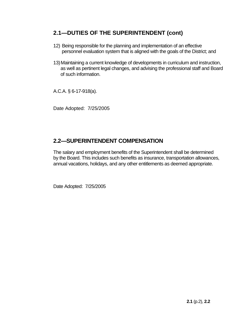#### **2.1—DUTIES OF THE SUPERINTENDENT (cont)**

- 12) Being responsible for the planning and implementation of an effective personnel evaluation system that is aligned with the goals of the District; and
- 13)Maintaining a current knowledge of developments in curriculum and instruction, as well as pertinent legal changes, and advising the professional staff and Board of such information.

A.C.A. § 6-17-918(a).

Date Adopted: 7/25/2005

#### **2.2—SUPERINTENDENT COMPENSATION**

The salary and employment benefits of the Superintendent shall be determined by the Board. This includes such benefits as insurance, transportation allowances, annual vacations, holidays, and any other entitlements as deemed appropriate.

Date Adopted: 7/25/2005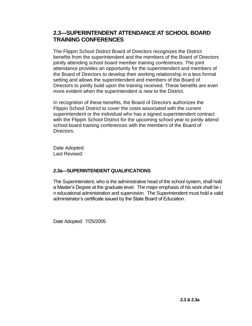#### **2.3—SUPERINTENDENT ATTENDANCE AT SCHOOL BOARD TRAINING CONFERENCES**

The Flippin School District Board of Directors recognizes the District benefits from the superintendent and the members of the Board of Directors jointly attending school board member training conferences. The joint attendance provides an opportunity for the superintendent and members of the Board of Directors to develop their working relationship in a less formal setting and allows the superintendent and members of the Board of Directors to jointly build upon the training received. These benefits are even more evident when the superintendent is new to the District.

In recognition of these benefits, the Board of Directors authorizes the Flippin School District to cover the costs associated with the current superintendent or the individual who has a signed superintendent contract with the Flippin School District for the upcoming school year to jointly attend school board training conferences with the members of the Board of Directors.

Date Adopted: Last Revised:

#### **2.3a---SUPERINTENDENT QUALIFICATIONS**

The Superintendent, who is the administrative head of the school system, shall hold a Master's Degree at the graduate level. The major emphasis of his work shall be i n educational administration and supervision. The Superintendent must hold a valid administrator's certificate issued by the State Board of Education.

Date Adopted: 7/25/2005